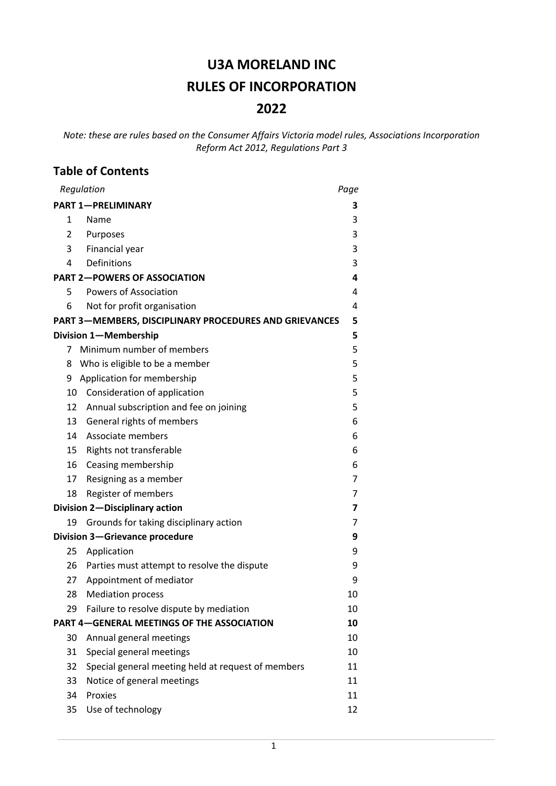# **U3A MORELAND INC RULES OF INCORPORATION 2022**

*Note: these are rules based on the Consumer Affairs Victoria model rules, Associations Incorporation Reform Act 2012, Regulations Part 3*

## **Table of Contents**

| Regulation                                        |                                                               | Page |
|---------------------------------------------------|---------------------------------------------------------------|------|
| <b>PART 1-PRELIMINARY</b>                         |                                                               | з    |
| 1                                                 | Name                                                          | 3    |
| 2                                                 | Purposes                                                      | 3    |
| 3                                                 | Financial year                                                | 3    |
| 4                                                 | Definitions                                                   | 3    |
| <b>PART 2-POWERS OF ASSOCIATION</b>               |                                                               | 4    |
| 5                                                 | <b>Powers of Association</b>                                  | 4    |
| 6                                                 | Not for profit organisation                                   | 4    |
|                                                   | <b>PART 3-MEMBERS, DISCIPLINARY PROCEDURES AND GRIEVANCES</b> | 5    |
|                                                   | Division 1-Membership                                         | 5    |
| 7                                                 | Minimum number of members                                     | 5    |
| 8                                                 | Who is eligible to be a member                                | 5    |
| 9                                                 | Application for membership                                    | 5    |
| 10                                                | Consideration of application                                  | 5    |
| 12                                                | Annual subscription and fee on joining                        | 5    |
| 13                                                | General rights of members                                     | 6    |
| 14                                                | Associate members                                             | 6    |
| 15                                                | Rights not transferable                                       | 6    |
| 16                                                | Ceasing membership                                            | 6    |
| 17                                                | Resigning as a member                                         | 7    |
| 18                                                | Register of members                                           | 7    |
|                                                   | Division 2-Disciplinary action                                | 7    |
| 19                                                | Grounds for taking disciplinary action                        | 7    |
| Division 3-Grievance procedure                    |                                                               | 9    |
| 25                                                | Application                                                   | 9    |
| 26                                                | Parties must attempt to resolve the dispute                   | 9    |
| 27                                                | Appointment of mediator                                       | 9    |
| 28                                                | <b>Mediation process</b>                                      | 10   |
| 29                                                | Failure to resolve dispute by mediation                       | 10   |
| <b>PART 4-GENERAL MEETINGS OF THE ASSOCIATION</b> |                                                               | 10   |
| 30                                                | Annual general meetings                                       | 10   |
| 31                                                | Special general meetings                                      | 10   |
| 32                                                | Special general meeting held at request of members            | 11   |
| 33                                                | Notice of general meetings                                    | 11   |
| 34                                                | Proxies                                                       | 11   |
| 35                                                | Use of technology                                             | 12   |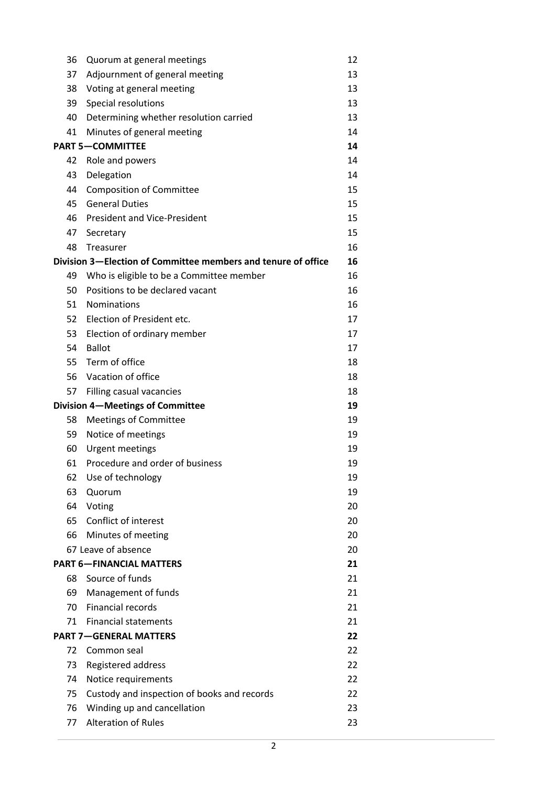| 36                      | Quorum at general meetings                                    | 12       |
|-------------------------|---------------------------------------------------------------|----------|
| 37                      | Adjournment of general meeting                                | 13       |
| 38                      | Voting at general meeting                                     | 13       |
| 39                      | Special resolutions                                           | 13       |
| 40                      | Determining whether resolution carried                        | 13       |
| 41                      | Minutes of general meeting                                    | 14       |
| <b>PART 5-COMMITTEE</b> |                                                               | 14       |
| 42                      | Role and powers                                               | 14       |
| 43                      | Delegation                                                    | 14       |
| 44                      | <b>Composition of Committee</b>                               | 15       |
| 45                      | <b>General Duties</b>                                         | 15       |
| 46                      | <b>President and Vice-President</b>                           | 15       |
| 47                      | Secretary                                                     | 15       |
| 48                      | Treasurer                                                     | 16       |
|                         | Division 3-Election of Committee members and tenure of office | 16       |
| 49                      | Who is eligible to be a Committee member                      | 16       |
| 50                      | Positions to be declared vacant                               | 16       |
| 51                      | <b>Nominations</b>                                            | 16       |
| 52                      | Election of President etc.                                    | 17       |
| 53                      | Election of ordinary member                                   | 17       |
| 54                      | <b>Ballot</b>                                                 | 17       |
| 55                      | Term of office                                                | 18       |
| 56                      | Vacation of office                                            | 18       |
| 57                      | Filling casual vacancies                                      | 18<br>19 |
|                         | Division 4-Meetings of Committee                              |          |
| 58                      | <b>Meetings of Committee</b>                                  | 19       |
| 59                      | Notice of meetings                                            | 19       |
| 60                      | <b>Urgent meetings</b>                                        | 19       |
| 61                      | Procedure and order of business                               | 19       |
| 62                      | Use of technology                                             | 19       |
| 63                      | Quorum                                                        | 19       |
| 64                      | Voting                                                        | 20       |
| 65                      | Conflict of interest                                          | 20       |
| 66                      | Minutes of meeting<br>67 Leave of absence                     | 20       |
|                         | <b>PART 6-FINANCIAL MATTERS</b>                               | 20<br>21 |
| 68                      | Source of funds                                               | 21       |
| 69                      |                                                               | 21       |
| 70                      | Management of funds<br><b>Financial records</b>               | 21       |
| 71                      | <b>Financial statements</b>                                   | 21       |
|                         | <b>PART 7-GENERAL MATTERS</b>                                 | 22       |
| 72<br>Common seal       |                                                               | 22       |
| 73                      | Registered address                                            | 22       |
| 74                      | Notice requirements                                           | 22       |
| 75                      | Custody and inspection of books and records                   | 22       |
| 76                      | Winding up and cancellation                                   | 23       |
| 77                      | <b>Alteration of Rules</b>                                    | 23       |
|                         |                                                               |          |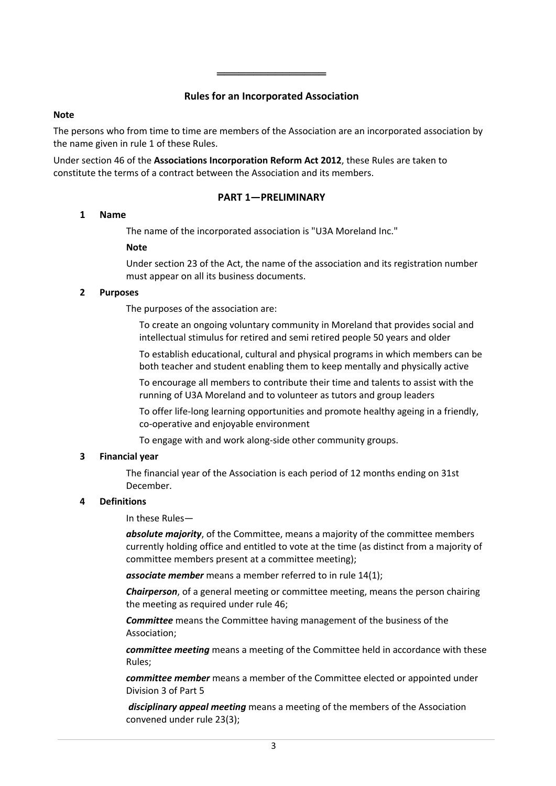## **Rules for an Incorporated Association**

════════════════════════════

#### **Note**

The persons who from time to time are members of the Association are an incorporated association by the name given in rule 1 of these Rules.

Under section 46 of the **Associations Incorporation Reform Act 2012**, these Rules are taken to constitute the terms of a contract between the Association and its members.

## **PART 1—PRELIMINARY**

## **1 Name**

The name of the incorporated association is "U3A Moreland Inc."

## **Note**

Under section 23 of the Act, the name of the association and its registration number must appear on all its business documents.

## **2 Purposes**

The purposes of the association are:

To create an ongoing voluntary community in Moreland that provides social and intellectual stimulus for retired and semi retired people 50 years and older

To establish educational, cultural and physical programs in which members can be both teacher and student enabling them to keep mentally and physically active

To encourage all members to contribute their time and talents to assist with the running of U3A Moreland and to volunteer as tutors and group leaders

To offer life-long learning opportunities and promote healthy ageing in a friendly, co-operative and enjoyable environment

To engage with and work along-side other community groups.

## **3 Financial year**

The financial year of the Association is each period of 12 months ending on 31st December.

## **4 Definitions**

In these Rules—

*absolute majority*, of the Committee, means a majority of the committee members currently holding office and entitled to vote at the time (as distinct from a majority of committee members present at a committee meeting);

*associate member* means a member referred to in rule 14(1);

*Chairperson*, of a general meeting or committee meeting, means the person chairing the meeting as required under rule 46;

*Committee* means the Committee having management of the business of the Association;

*committee meeting* means a meeting of the Committee held in accordance with these Rules;

*committee member* means a member of the Committee elected or appointed under Division 3 of Part 5

*disciplinary appeal meeting* means a meeting of the members of the Association convened under rule 23(3);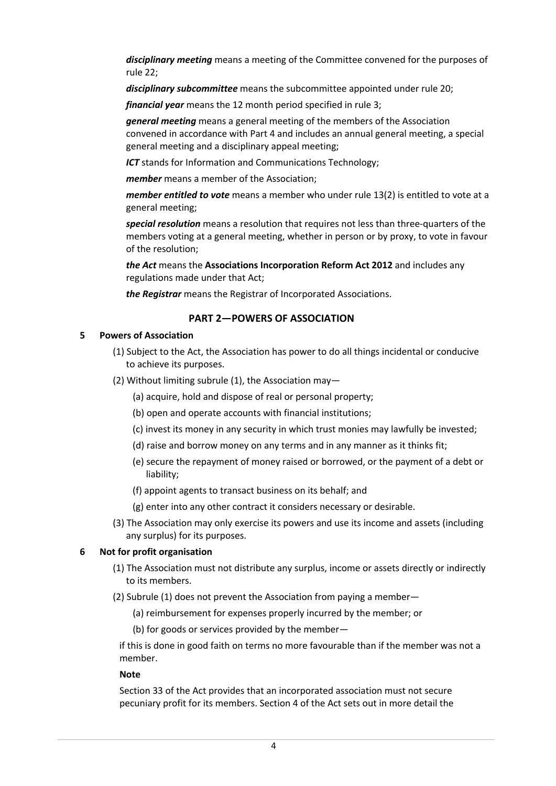*disciplinary meeting* means a meeting of the Committee convened for the purposes of rule 22;

*disciplinary subcommittee* means the subcommittee appointed under rule 20;

*financial year* means the 12 month period specified in rule 3;

*general meeting* means a general meeting of the members of the Association convened in accordance with Part 4 and includes an annual general meeting, a special general meeting and a disciplinary appeal meeting;

*ICT* stands for Information and Communications Technology;

*member* means a member of the Association;

*member entitled to vote* means a member who under rule 13(2) is entitled to vote at a general meeting;

*special resolution* means a resolution that requires not less than three-quarters of the members voting at a general meeting, whether in person or by proxy, to vote in favour of the resolution;

*the Act* means the **Associations Incorporation Reform Act 2012** and includes any regulations made under that Act;

*the Registrar* means the Registrar of Incorporated Associations.

## **PART 2—POWERS OF ASSOCIATION**

#### **5 Powers of Association**

- (1) Subject to the Act, the Association has power to do all things incidental or conducive to achieve its purposes.
- (2) Without limiting subrule (1), the Association may—
	- (a) acquire, hold and dispose of real or personal property;
	- (b) open and operate accounts with financial institutions;
	- (c) invest its money in any security in which trust monies may lawfully be invested;
	- (d) raise and borrow money on any terms and in any manner as it thinks fit;
	- (e) secure the repayment of money raised or borrowed, or the payment of a debt or liability;
	- (f) appoint agents to transact business on its behalf; and
	- (g) enter into any other contract it considers necessary or desirable.
- (3) The Association may only exercise its powers and use its income and assets (including any surplus) for its purposes.

#### **6 Not for profit organisation**

- (1) The Association must not distribute any surplus, income or assets directly or indirectly to its members.
- (2) Subrule (1) does not prevent the Association from paying a member—
	- (a) reimbursement for expenses properly incurred by the member; or

(b) for goods or services provided by the member—

if this is done in good faith on terms no more favourable than if the member was not a member.

#### **Note**

Section 33 of the Act provides that an incorporated association must not secure pecuniary profit for its members. Section 4 of the Act sets out in more detail the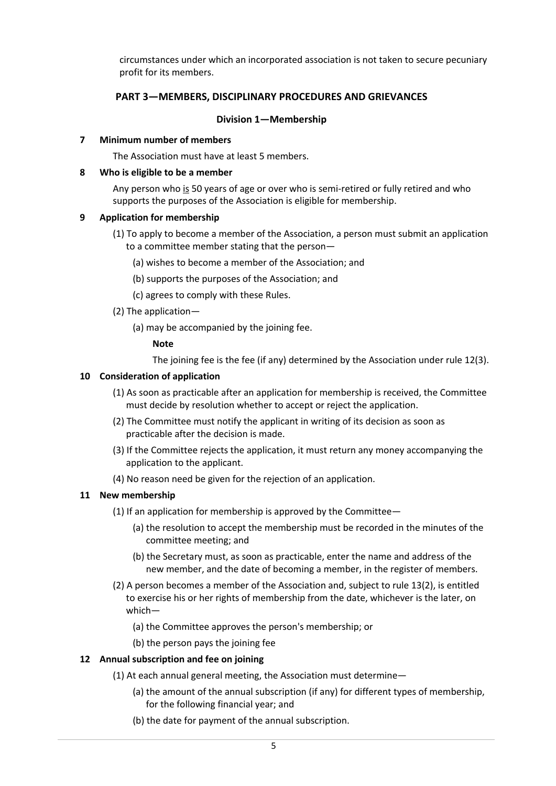circumstances under which an incorporated association is not taken to secure pecuniary profit for its members.

## **PART 3—MEMBERS, DISCIPLINARY PROCEDURES AND GRIEVANCES**

#### **Division 1—Membership**

#### **7 Minimum number of members**

The Association must have at least 5 members.

#### **8 Who is eligible to be a member**

Any person who is 50 years of age or over who is semi-retired or fully retired and who supports the purposes of the Association is eligible for membership.

#### **9 Application for membership**

- (1) To apply to become a member of the Association, a person must submit an application to a committee member stating that the person—
	- (a) wishes to become a member of the Association; and
	- (b) supports the purposes of the Association; and
	- (c) agrees to comply with these Rules.
- (2) The application—
	- (a) may be accompanied by the joining fee.

#### **Note**

The joining fee is the fee (if any) determined by the Association under rule 12(3).

#### **10 Consideration of application**

- (1) As soon as practicable after an application for membership is received, the Committee must decide by resolution whether to accept or reject the application.
- (2) The Committee must notify the applicant in writing of its decision as soon as practicable after the decision is made.
- (3) If the Committee rejects the application, it must return any money accompanying the application to the applicant.
- (4) No reason need be given for the rejection of an application.

#### **11 New membership**

- (1) If an application for membership is approved by the Committee—
	- (a) the resolution to accept the membership must be recorded in the minutes of the committee meeting; and
	- (b) the Secretary must, as soon as practicable, enter the name and address of the new member, and the date of becoming a member, in the register of members.
- (2) A person becomes a member of the Association and, subject to rule 13(2), is entitled to exercise his or her rights of membership from the date, whichever is the later, on which—
	- (a) the Committee approves the person's membership; or
	- (b) the person pays the joining fee

#### **12 Annual subscription and fee on joining**

- (1) At each annual general meeting, the Association must determine—
	- (a) the amount of the annual subscription (if any) for different types of membership, for the following financial year; and
	- (b) the date for payment of the annual subscription.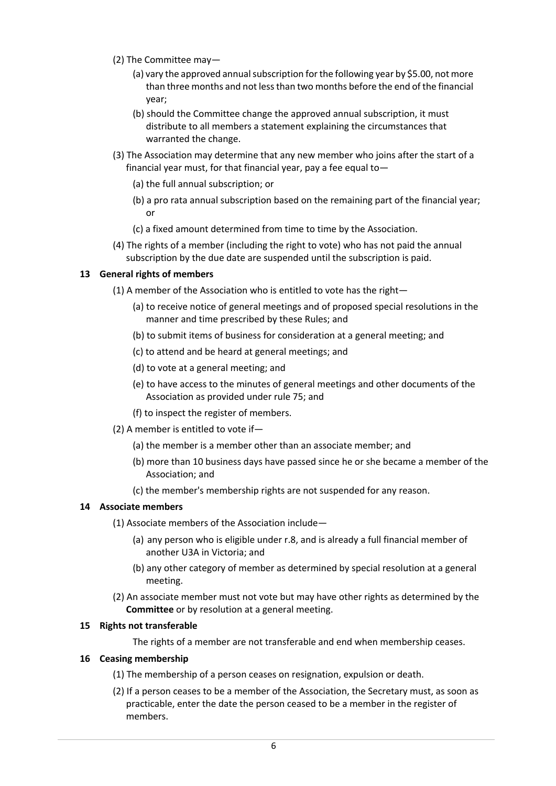- (2) The Committee may—
	- (a) vary the approved annual subscription for the following year by \$5.00, not more than three months and not less than two months before the end of the financial year;
	- (b) should the Committee change the approved annual subscription, it must distribute to all members a statement explaining the circumstances that warranted the change.
- (3) The Association may determine that any new member who joins after the start of a financial year must, for that financial year, pay a fee equal to—
	- (a) the full annual subscription; or
	- (b) a pro rata annual subscription based on the remaining part of the financial year; or
	- (c) a fixed amount determined from time to time by the Association.
- (4) The rights of a member (including the right to vote) who has not paid the annual subscription by the due date are suspended until the subscription is paid.

#### **13 General rights of members**

- (1) A member of the Association who is entitled to vote has the right—
	- (a) to receive notice of general meetings and of proposed special resolutions in the manner and time prescribed by these Rules; and
	- (b) to submit items of business for consideration at a general meeting; and
	- (c) to attend and be heard at general meetings; and
	- (d) to vote at a general meeting; and
	- (e) to have access to the minutes of general meetings and other documents of the Association as provided under rule 75; and
	- (f) to inspect the register of members.
- (2) A member is entitled to vote if—
	- (a) the member is a member other than an associate member; and
	- (b) more than 10 business days have passed since he or she became a member of the Association; and
	- (c) the member's membership rights are not suspended for any reason.

#### **14 Associate members**

- (1) Associate members of the Association include—
	- (a) any person who is eligible under r.8, and is already a full financial member of another U3A in Victoria; and
	- (b) any other category of member as determined by special resolution at a general meeting.
- (2) An associate member must not vote but may have other rights as determined by the **Committee** or by resolution at a general meeting.

#### **15 Rights not transferable**

The rights of a member are not transferable and end when membership ceases.

#### **16 Ceasing membership**

- (1) The membership of a person ceases on resignation, expulsion or death.
- (2) If a person ceases to be a member of the Association, the Secretary must, as soon as practicable, enter the date the person ceased to be a member in the register of members.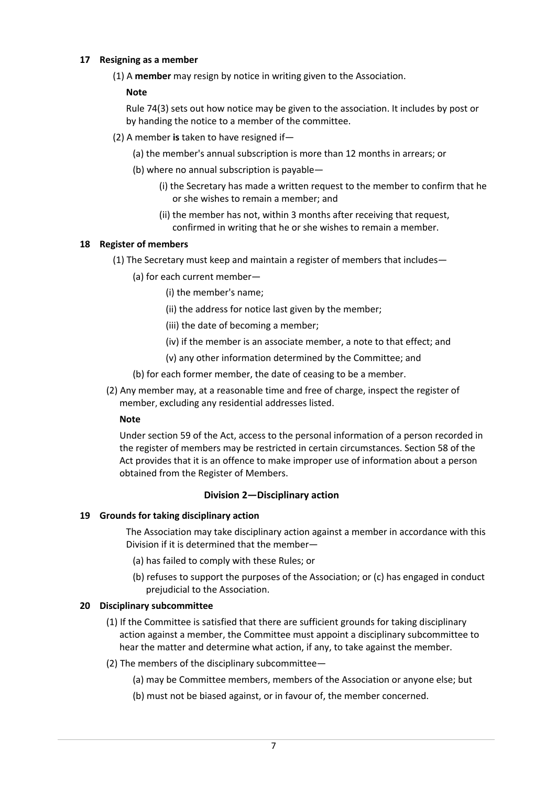## **17 Resigning as a member**

(1) A **member** may resign by notice in writing given to the Association.

## **Note**

Rule 74(3) sets out how notice may be given to the association. It includes by post or by handing the notice to a member of the committee.

- (2) A member **is** taken to have resigned if—
	- (a) the member's annual subscription is more than 12 months in arrears; or
	- (b) where no annual subscription is payable—
		- (i) the Secretary has made a written request to the member to confirm that he or she wishes to remain a member; and
		- (ii) the member has not, within 3 months after receiving that request, confirmed in writing that he or she wishes to remain a member.

## **18 Register of members**

- (1) The Secretary must keep and maintain a register of members that includes—
	- (a) for each current member—
		- (i) the member's name;
		- (ii) the address for notice last given by the member;
		- (iii) the date of becoming a member;
		- (iv) if the member is an associate member, a note to that effect; and
		- (v) any other information determined by the Committee; and
	- (b) for each former member, the date of ceasing to be a member.
- (2) Any member may, at a reasonable time and free of charge, inspect the register of member, excluding any residential addresses listed.

#### **Note**

Under section 59 of the Act, access to the personal information of a person recorded in the register of members may be restricted in certain circumstances. Section 58 of the Act provides that it is an offence to make improper use of information about a person obtained from the Register of Members.

#### **Division 2—Disciplinary action**

#### **19 Grounds for taking disciplinary action**

The Association may take disciplinary action against a member in accordance with this Division if it is determined that the member—

- (a) has failed to comply with these Rules; or
- (b) refuses to support the purposes of the Association; or (c) has engaged in conduct prejudicial to the Association.

#### **20 Disciplinary subcommittee**

- (1) If the Committee is satisfied that there are sufficient grounds for taking disciplinary action against a member, the Committee must appoint a disciplinary subcommittee to hear the matter and determine what action, if any, to take against the member.
- (2) The members of the disciplinary subcommittee—
	- (a) may be Committee members, members of the Association or anyone else; but
	- (b) must not be biased against, or in favour of, the member concerned.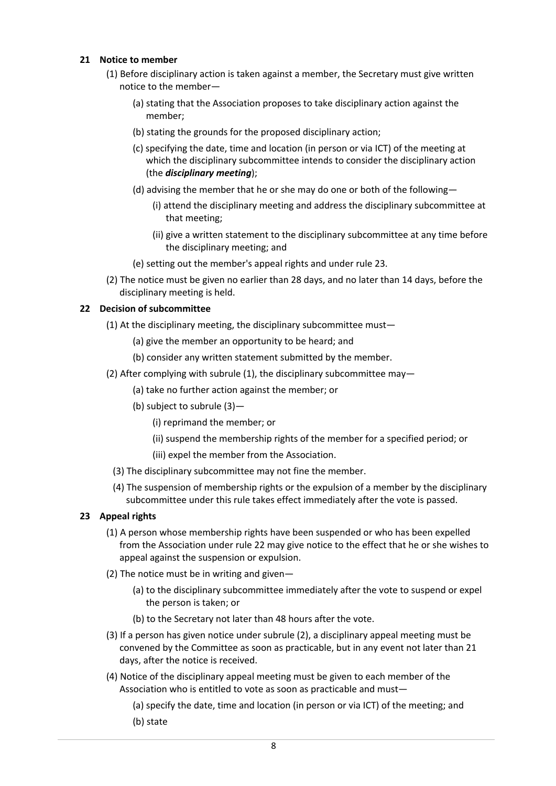## **21 Notice to member**

- (1) Before disciplinary action is taken against a member, the Secretary must give written notice to the member—
	- (a) stating that the Association proposes to take disciplinary action against the member;
	- (b) stating the grounds for the proposed disciplinary action;
	- (c) specifying the date, time and location (in person or via ICT) of the meeting at which the disciplinary subcommittee intends to consider the disciplinary action (the *disciplinary meeting*);
	- (d) advising the member that he or she may do one or both of the following—
		- (i) attend the disciplinary meeting and address the disciplinary subcommittee at that meeting;
		- (ii) give a written statement to the disciplinary subcommittee at any time before the disciplinary meeting; and
	- (e) setting out the member's appeal rights and under rule 23.
- (2) The notice must be given no earlier than 28 days, and no later than 14 days, before the disciplinary meeting is held.

## **22 Decision of subcommittee**

- (1) At the disciplinary meeting, the disciplinary subcommittee must—
	- (a) give the member an opportunity to be heard; and
	- (b) consider any written statement submitted by the member.
- (2) After complying with subrule (1), the disciplinary subcommittee may—
	- (a) take no further action against the member; or
	- (b) subject to subrule (3)—
		- (i) reprimand the member; or
		- (ii) suspend the membership rights of the member for a specified period; or
		- (iii) expel the member from the Association.
	- (3) The disciplinary subcommittee may not fine the member.
	- (4) The suspension of membership rights or the expulsion of a member by the disciplinary subcommittee under this rule takes effect immediately after the vote is passed.

#### **23 Appeal rights**

- (1) A person whose membership rights have been suspended or who has been expelled from the Association under rule 22 may give notice to the effect that he or she wishes to appeal against the suspension or expulsion.
- (2) The notice must be in writing and given—
	- (a) to the disciplinary subcommittee immediately after the vote to suspend or expel the person is taken; or
	- (b) to the Secretary not later than 48 hours after the vote.
- (3) If a person has given notice under subrule (2), a disciplinary appeal meeting must be convened by the Committee as soon as practicable, but in any event not later than 21 days, after the notice is received.
- (4) Notice of the disciplinary appeal meeting must be given to each member of the Association who is entitled to vote as soon as practicable and must—

(a) specify the date, time and location (in person or via ICT) of the meeting; and (b) state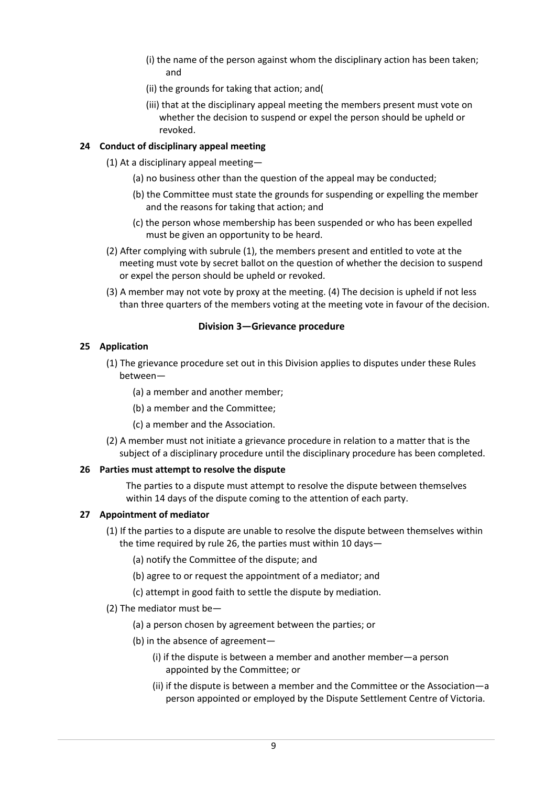- (i) the name of the person against whom the disciplinary action has been taken; and
- (ii) the grounds for taking that action; and(
- (iii) that at the disciplinary appeal meeting the members present must vote on whether the decision to suspend or expel the person should be upheld or revoked.

## **24 Conduct of disciplinary appeal meeting**

- (1) At a disciplinary appeal meeting—
	- (a) no business other than the question of the appeal may be conducted;
	- (b) the Committee must state the grounds for suspending or expelling the member and the reasons for taking that action; and
	- (c) the person whose membership has been suspended or who has been expelled must be given an opportunity to be heard.
- (2) After complying with subrule (1), the members present and entitled to vote at the meeting must vote by secret ballot on the question of whether the decision to suspend or expel the person should be upheld or revoked.
- (3) A member may not vote by proxy at the meeting. (4) The decision is upheld if not less than three quarters of the members voting at the meeting vote in favour of the decision.

#### **Division 3—Grievance procedure**

## **25 Application**

- (1) The grievance procedure set out in this Division applies to disputes under these Rules between—
	- (a) a member and another member;
	- (b) a member and the Committee;
	- (c) a member and the Association.
- (2) A member must not initiate a grievance procedure in relation to a matter that is the subject of a disciplinary procedure until the disciplinary procedure has been completed.

#### **26 Parties must attempt to resolve the dispute**

The parties to a dispute must attempt to resolve the dispute between themselves within 14 days of the dispute coming to the attention of each party.

#### **27 Appointment of mediator**

- (1) If the parties to a dispute are unable to resolve the dispute between themselves within the time required by rule 26, the parties must within 10 days—
	- (a) notify the Committee of the dispute; and
	- (b) agree to or request the appointment of a mediator; and
	- (c) attempt in good faith to settle the dispute by mediation.
- (2) The mediator must be—
	- (a) a person chosen by agreement between the parties; or
	- (b) in the absence of agreement—
		- (i) if the dispute is between a member and another member—a person appointed by the Committee; or
		- (ii) if the dispute is between a member and the Committee or the Association—a person appointed or employed by the Dispute Settlement Centre of Victoria.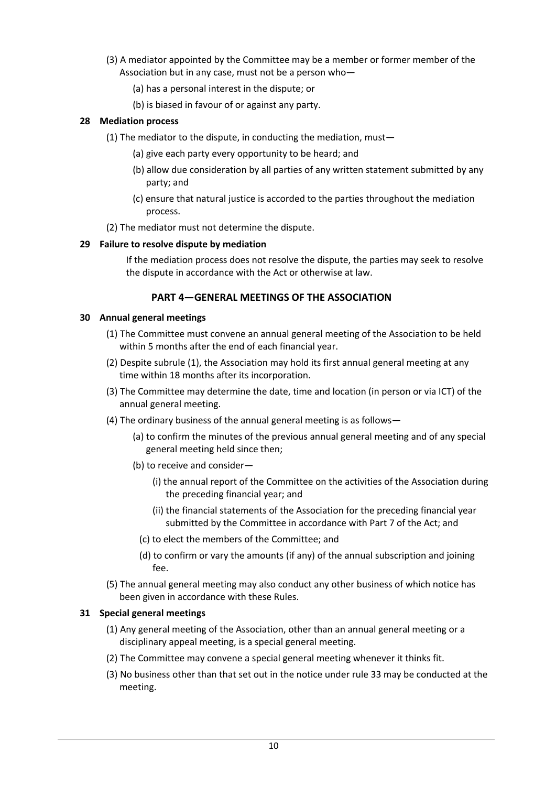- (3) A mediator appointed by the Committee may be a member or former member of the Association but in any case, must not be a person who—
	- (a) has a personal interest in the dispute; or
	- (b) is biased in favour of or against any party.

## **28 Mediation process**

- (1) The mediator to the dispute, in conducting the mediation, must—
	- (a) give each party every opportunity to be heard; and
	- (b) allow due consideration by all parties of any written statement submitted by any party; and
	- (c) ensure that natural justice is accorded to the parties throughout the mediation process.
- (2) The mediator must not determine the dispute.

## **29 Failure to resolve dispute by mediation**

If the mediation process does not resolve the dispute, the parties may seek to resolve the dispute in accordance with the Act or otherwise at law.

## **PART 4—GENERAL MEETINGS OF THE ASSOCIATION**

#### **30 Annual general meetings**

- (1) The Committee must convene an annual general meeting of the Association to be held within 5 months after the end of each financial year.
- (2) Despite subrule (1), the Association may hold its first annual general meeting at any time within 18 months after its incorporation.
- (3) The Committee may determine the date, time and location (in person or via ICT) of the annual general meeting.
- (4) The ordinary business of the annual general meeting is as follows—
	- (a) to confirm the minutes of the previous annual general meeting and of any special general meeting held since then;
	- (b) to receive and consider—
		- (i) the annual report of the Committee on the activities of the Association during the preceding financial year; and
		- (ii) the financial statements of the Association for the preceding financial year submitted by the Committee in accordance with Part 7 of the Act; and
		- (c) to elect the members of the Committee; and
		- (d) to confirm or vary the amounts (if any) of the annual subscription and joining fee.
- (5) The annual general meeting may also conduct any other business of which notice has been given in accordance with these Rules.

## **31 Special general meetings**

- (1) Any general meeting of the Association, other than an annual general meeting or a disciplinary appeal meeting, is a special general meeting.
- (2) The Committee may convene a special general meeting whenever it thinks fit.
- (3) No business other than that set out in the notice under rule 33 may be conducted at the meeting.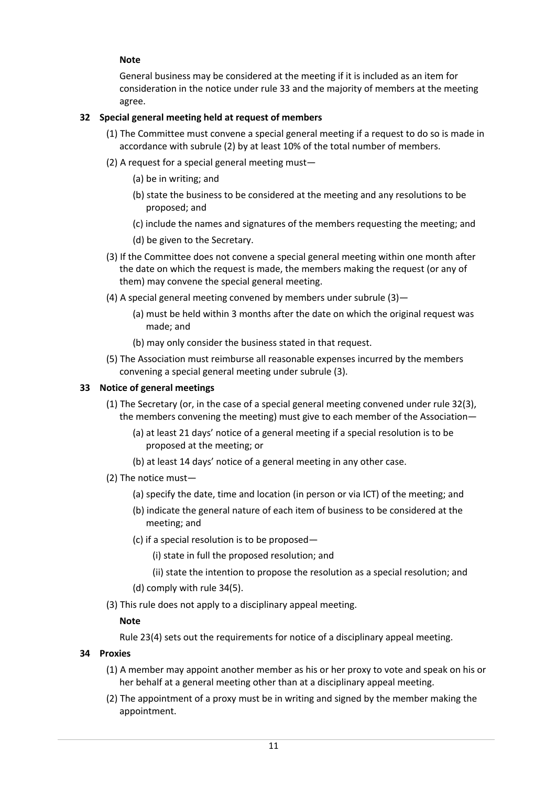## **Note**

General business may be considered at the meeting if it is included as an item for consideration in the notice under rule 33 and the majority of members at the meeting agree.

## **32 Special general meeting held at request of members**

- (1) The Committee must convene a special general meeting if a request to do so is made in accordance with subrule (2) by at least 10% of the total number of members.
- (2) A request for a special general meeting must—
	- (a) be in writing; and
	- (b) state the business to be considered at the meeting and any resolutions to be proposed; and
	- (c) include the names and signatures of the members requesting the meeting; and
	- (d) be given to the Secretary.
- (3) If the Committee does not convene a special general meeting within one month after the date on which the request is made, the members making the request (or any of them) may convene the special general meeting.
- (4) A special general meeting convened by members under subrule (3)—
	- (a) must be held within 3 months after the date on which the original request was made; and
	- (b) may only consider the business stated in that request.
- (5) The Association must reimburse all reasonable expenses incurred by the members convening a special general meeting under subrule (3).

## **33 Notice of general meetings**

- (1) The Secretary (or, in the case of a special general meeting convened under rule 32(3), the members convening the meeting) must give to each member of the Association—
	- (a) at least 21 days' notice of a general meeting if a special resolution is to be proposed at the meeting; or
	- (b) at least 14 days' notice of a general meeting in any other case.
- (2) The notice must—
	- (a) specify the date, time and location (in person or via ICT) of the meeting; and
	- (b) indicate the general nature of each item of business to be considered at the meeting; and
	- (c) if a special resolution is to be proposed—
		- (i) state in full the proposed resolution; and
		- (ii) state the intention to propose the resolution as a special resolution; and
	- (d) comply with rule 34(5).
- (3) This rule does not apply to a disciplinary appeal meeting.

#### **Note**

Rule 23(4) sets out the requirements for notice of a disciplinary appeal meeting.

- **34 Proxies**
	- (1) A member may appoint another member as his or her proxy to vote and speak on his or her behalf at a general meeting other than at a disciplinary appeal meeting.
	- (2) The appointment of a proxy must be in writing and signed by the member making the appointment.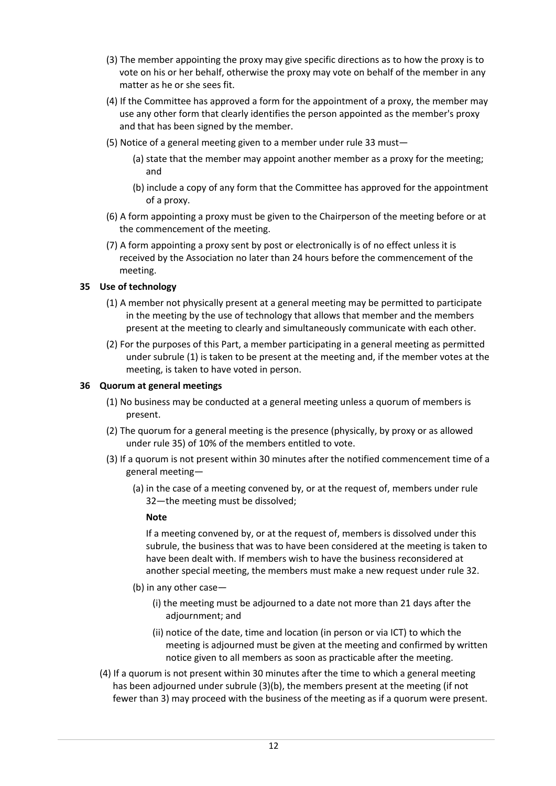- (3) The member appointing the proxy may give specific directions as to how the proxy is to vote on his or her behalf, otherwise the proxy may vote on behalf of the member in any matter as he or she sees fit.
- (4) If the Committee has approved a form for the appointment of a proxy, the member may use any other form that clearly identifies the person appointed as the member's proxy and that has been signed by the member.
- (5) Notice of a general meeting given to a member under rule 33 must—
	- (a) state that the member may appoint another member as a proxy for the meeting; and
	- (b) include a copy of any form that the Committee has approved for the appointment of a proxy.
- (6) A form appointing a proxy must be given to the Chairperson of the meeting before or at the commencement of the meeting.
- (7) A form appointing a proxy sent by post or electronically is of no effect unless it is received by the Association no later than 24 hours before the commencement of the meeting.

## **35 Use of technology**

- (1) A member not physically present at a general meeting may be permitted to participate in the meeting by the use of technology that allows that member and the members present at the meeting to clearly and simultaneously communicate with each other.
- (2) For the purposes of this Part, a member participating in a general meeting as permitted under subrule (1) is taken to be present at the meeting and, if the member votes at the meeting, is taken to have voted in person.

#### **36 Quorum at general meetings**

- (1) No business may be conducted at a general meeting unless a quorum of members is present.
- (2) The quorum for a general meeting is the presence (physically, by proxy or as allowed under rule 35) of 10% of the members entitled to vote.
- (3) If a quorum is not present within 30 minutes after the notified commencement time of a general meeting—
	- (a) in the case of a meeting convened by, or at the request of, members under rule 32—the meeting must be dissolved;

#### **Note**

If a meeting convened by, or at the request of, members is dissolved under this subrule, the business that was to have been considered at the meeting is taken to have been dealt with. If members wish to have the business reconsidered at another special meeting, the members must make a new request under rule 32.

- (b) in any other case—
	- (i) the meeting must be adjourned to a date not more than 21 days after the adjournment; and
	- (ii) notice of the date, time and location (in person or via ICT) to which the meeting is adjourned must be given at the meeting and confirmed by written notice given to all members as soon as practicable after the meeting.
- (4) If a quorum is not present within 30 minutes after the time to which a general meeting has been adjourned under subrule (3)(b), the members present at the meeting (if not fewer than 3) may proceed with the business of the meeting as if a quorum were present.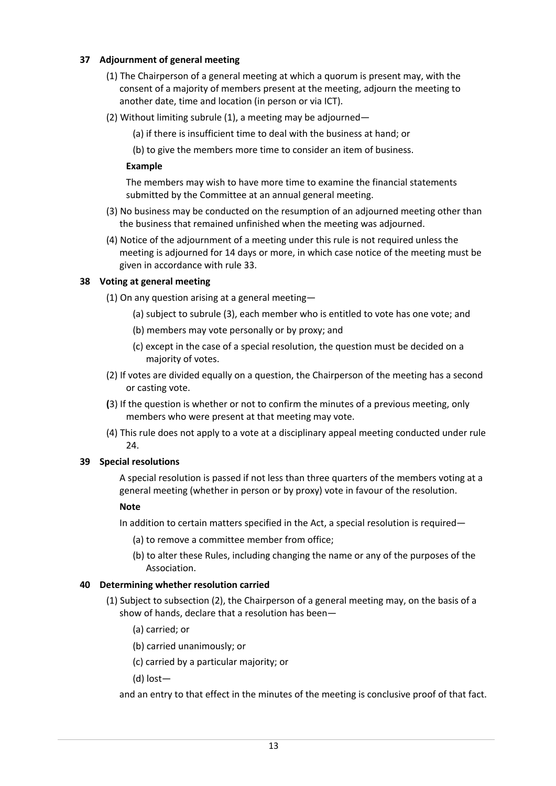## **37 Adjournment of general meeting**

- (1) The Chairperson of a general meeting at which a quorum is present may, with the consent of a majority of members present at the meeting, adjourn the meeting to another date, time and location (in person or via ICT).
- (2) Without limiting subrule (1), a meeting may be adjourned—
	- (a) if there is insufficient time to deal with the business at hand; or

(b) to give the members more time to consider an item of business.

## **Example**

The members may wish to have more time to examine the financial statements submitted by the Committee at an annual general meeting.

- (3) No business may be conducted on the resumption of an adjourned meeting other than the business that remained unfinished when the meeting was adjourned.
- (4) Notice of the adjournment of a meeting under this rule is not required unless the meeting is adjourned for 14 days or more, in which case notice of the meeting must be given in accordance with rule 33.

## **38 Voting at general meeting**

(1) On any question arising at a general meeting—

- (a) subject to subrule (3), each member who is entitled to vote has one vote; and
- (b) members may vote personally or by proxy; and
- (c) except in the case of a special resolution, the question must be decided on a majority of votes.
- (2) If votes are divided equally on a question, the Chairperson of the meeting has a second or casting vote.
- **(**3) If the question is whether or not to confirm the minutes of a previous meeting, only members who were present at that meeting may vote.
- (4) This rule does not apply to a vote at a disciplinary appeal meeting conducted under rule 24.

## **39 Special resolutions**

A special resolution is passed if not less than three quarters of the members voting at a general meeting (whether in person or by proxy) vote in favour of the resolution.

## **Note**

In addition to certain matters specified in the Act, a special resolution is required—

- (a) to remove a committee member from office;
- (b) to alter these Rules, including changing the name or any of the purposes of the Association.

## **40 Determining whether resolution carried**

- (1) Subject to subsection (2), the Chairperson of a general meeting may, on the basis of a show of hands, declare that a resolution has been—
	- (a) carried; or
	- (b) carried unanimously; or
	- (c) carried by a particular majority; or
	- (d) lost—

and an entry to that effect in the minutes of the meeting is conclusive proof of that fact.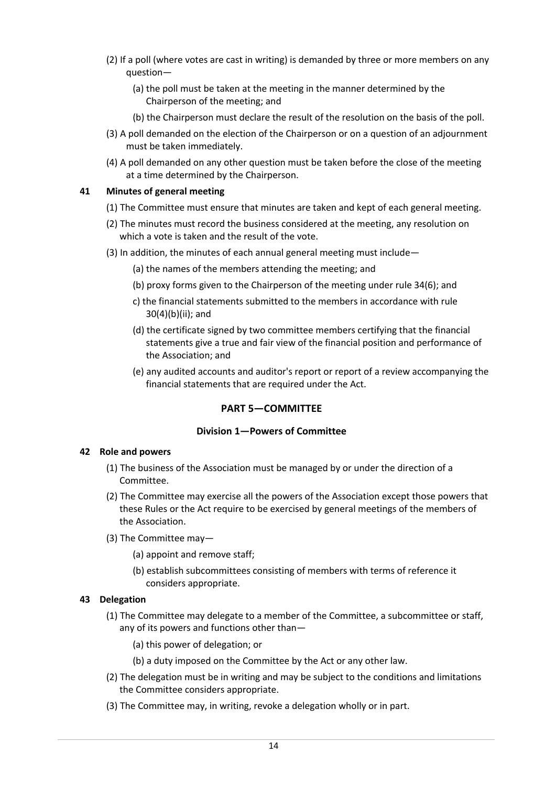- (2) If a poll (where votes are cast in writing) is demanded by three or more members on any question—
	- (a) the poll must be taken at the meeting in the manner determined by the Chairperson of the meeting; and
	- (b) the Chairperson must declare the result of the resolution on the basis of the poll.
- (3) A poll demanded on the election of the Chairperson or on a question of an adjournment must be taken immediately.
- (4) A poll demanded on any other question must be taken before the close of the meeting at a time determined by the Chairperson.

## **41 Minutes of general meeting**

- (1) The Committee must ensure that minutes are taken and kept of each general meeting.
- (2) The minutes must record the business considered at the meeting, any resolution on which a vote is taken and the result of the vote.
- (3) In addition, the minutes of each annual general meeting must include—
	- (a) the names of the members attending the meeting; and
	- (b) proxy forms given to the Chairperson of the meeting under rule 34(6); and
	- c) the financial statements submitted to the members in accordance with rule 30(4)(b)(ii); and
	- (d) the certificate signed by two committee members certifying that the financial statements give a true and fair view of the financial position and performance of the Association; and
	- (e) any audited accounts and auditor's report or report of a review accompanying the financial statements that are required under the Act.

## **PART 5—COMMITTEE**

#### **Division 1—Powers of Committee**

#### **42 Role and powers**

- (1) The business of the Association must be managed by or under the direction of a Committee.
- (2) The Committee may exercise all the powers of the Association except those powers that these Rules or the Act require to be exercised by general meetings of the members of the Association.
- (3) The Committee may—
	- (a) appoint and remove staff;
	- (b) establish subcommittees consisting of members with terms of reference it considers appropriate.

## **43 Delegation**

- (1) The Committee may delegate to a member of the Committee, a subcommittee or staff, any of its powers and functions other than—
	- (a) this power of delegation; or
	- (b) a duty imposed on the Committee by the Act or any other law.
- (2) The delegation must be in writing and may be subject to the conditions and limitations the Committee considers appropriate.
- (3) The Committee may, in writing, revoke a delegation wholly or in part.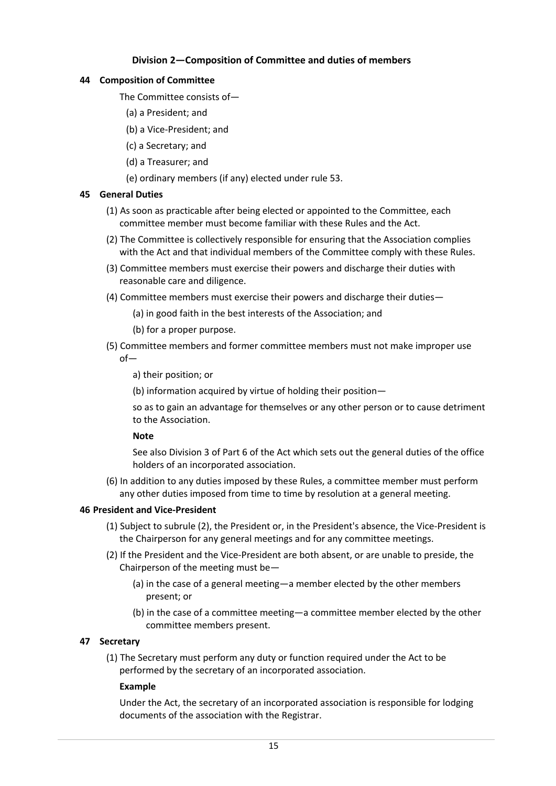## **Division 2—Composition of Committee and duties of members**

## **44 Composition of Committee**

- The Committee consists of—
	- (a) a President; and
	- (b) a Vice-President; and
- (c) a Secretary; and
- (d) a Treasurer; and
- (e) ordinary members (if any) elected under rule 53.

## **45 General Duties**

- (1) As soon as practicable after being elected or appointed to the Committee, each committee member must become familiar with these Rules and the Act.
- (2) The Committee is collectively responsible for ensuring that the Association complies with the Act and that individual members of the Committee comply with these Rules.
- (3) Committee members must exercise their powers and discharge their duties with reasonable care and diligence.
- (4) Committee members must exercise their powers and discharge their duties—
	- (a) in good faith in the best interests of the Association; and
	- (b) for a proper purpose.
- (5) Committee members and former committee members must not make improper use of
	- a) their position; or
	- (b) information acquired by virtue of holding their position—

so as to gain an advantage for themselves or any other person or to cause detriment to the Association.

## **Note**

See also Division 3 of Part 6 of the Act which sets out the general duties of the office holders of an incorporated association.

(6) In addition to any duties imposed by these Rules, a committee member must perform any other duties imposed from time to time by resolution at a general meeting.

## **46 President and Vice-President**

- (1) Subject to subrule (2), the President or, in the President's absence, the Vice-President is the Chairperson for any general meetings and for any committee meetings.
- (2) If the President and the Vice-President are both absent, or are unable to preside, the Chairperson of the meeting must be—
	- (a) in the case of a general meeting—a member elected by the other members present; or
	- (b) in the case of a committee meeting—a committee member elected by the other committee members present.

## **47 Secretary**

(1) The Secretary must perform any duty or function required under the Act to be performed by the secretary of an incorporated association.

## **Example**

Under the Act, the secretary of an incorporated association is responsible for lodging documents of the association with the Registrar.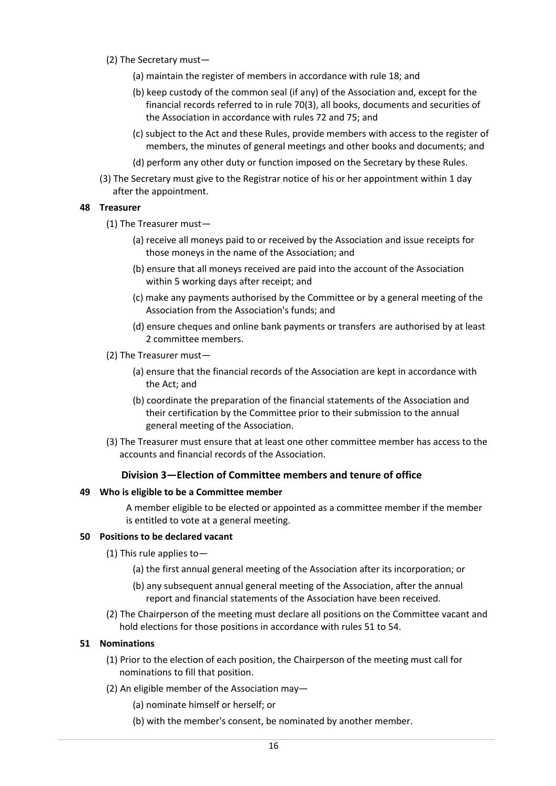- (2) The Secretary must—
	- (a) maintain the register of members in accordance with rule 18; and
	- (b) keep custody of the common seal (if any) of the Association and, except for the financial records referred to in rule 70(3), all books, documents and securities of the Association in accordance with rules 72 and 75; and
	- (c) subject to the Act and these Rules, provide members with access to the register of members, the minutes of general meetings and other books and documents; and
	- (d) perform any other duty or function imposed on the Secretary by these Rules.
- (3) The Secretary must give to the Registrar notice of his or her appointment within 1 day after the appointment.

#### **48 Treasurer**

- (1) The Treasurer must—
	- (a) receive all moneys paid to or received by the Association and issue receipts for those moneys in the name of the Association; and
	- (b) ensure that all moneys received are paid into the account of the Association within 5 working days after receipt; and
	- (c) make any payments authorised by the Committee or by a general meeting of the Association from the Association's funds; and
	- (d) ensure cheques and online bank payments or transfers are authorised by at least 2 committee members.
- (2) The Treasurer must—
	- (a) ensure that the financial records of the Association are kept in accordance with the Act; and
	- (b) coordinate the preparation of the financial statements of the Association and their certification by the Committee prior to their submission to the annual general meeting of the Association.
- (3) The Treasurer must ensure that at least one other committee member has access to the accounts and financial records of the Association.

#### **Division 3—Election of Committee members and tenure of office**

#### **49 Who is eligible to be a Committee member**

A member eligible to be elected or appointed as a committee member if the member is entitled to vote at a general meeting.

#### **50 Positions to be declared vacant**

- (1) This rule applies to—
	- (a) the first annual general meeting of the Association after its incorporation; or
	- (b) any subsequent annual general meeting of the Association, after the annual report and financial statements of the Association have been received.
- (2) The Chairperson of the meeting must declare all positions on the Committee vacant and hold elections for those positions in accordance with rules 51 to 54.

#### **51 Nominations**

- (1) Prior to the election of each position, the Chairperson of the meeting must call for nominations to fill that position.
- (2) An eligible member of the Association may—
	- (a) nominate himself or herself; or
	- (b) with the member's consent, be nominated by another member.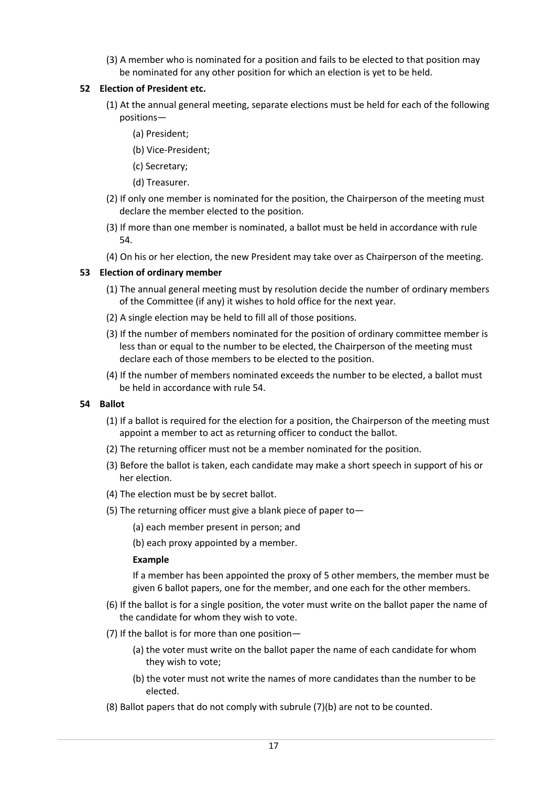(3) A member who is nominated for a position and fails to be elected to that position may be nominated for any other position for which an election is yet to be held.

## **52 Election of President etc.**

- (1) At the annual general meeting, separate elections must be held for each of the following positions—
	- (a) President;
	- (b) Vice-President;
	- (c) Secretary;
	- (d) Treasurer.
- (2) If only one member is nominated for the position, the Chairperson of the meeting must declare the member elected to the position.
- (3) If more than one member is nominated, a ballot must be held in accordance with rule 54.
- (4) On his or her election, the new President may take over as Chairperson of the meeting.

## **53 Election of ordinary member**

- (1) The annual general meeting must by resolution decide the number of ordinary members of the Committee (if any) it wishes to hold office for the next year.
- (2) A single election may be held to fill all of those positions.
- (3) If the number of members nominated for the position of ordinary committee member is less than or equal to the number to be elected, the Chairperson of the meeting must declare each of those members to be elected to the position.
- (4) If the number of members nominated exceeds the number to be elected, a ballot must be held in accordance with rule 54.

#### **54 Ballot**

- (1) If a ballot is required for the election for a position, the Chairperson of the meeting must appoint a member to act as returning officer to conduct the ballot.
- (2) The returning officer must not be a member nominated for the position.
- (3) Before the ballot is taken, each candidate may make a short speech in support of his or her election.
- (4) The election must be by secret ballot.
- (5) The returning officer must give a blank piece of paper to—
	- (a) each member present in person; and

(b) each proxy appointed by a member.

#### **Example**

If a member has been appointed the proxy of 5 other members, the member must be given 6 ballot papers, one for the member, and one each for the other members.

- (6) If the ballot is for a single position, the voter must write on the ballot paper the name of the candidate for whom they wish to vote.
- (7) If the ballot is for more than one position—
	- (a) the voter must write on the ballot paper the name of each candidate for whom they wish to vote;
	- (b) the voter must not write the names of more candidates than the number to be elected.
- (8) Ballot papers that do not comply with subrule (7)(b) are not to be counted.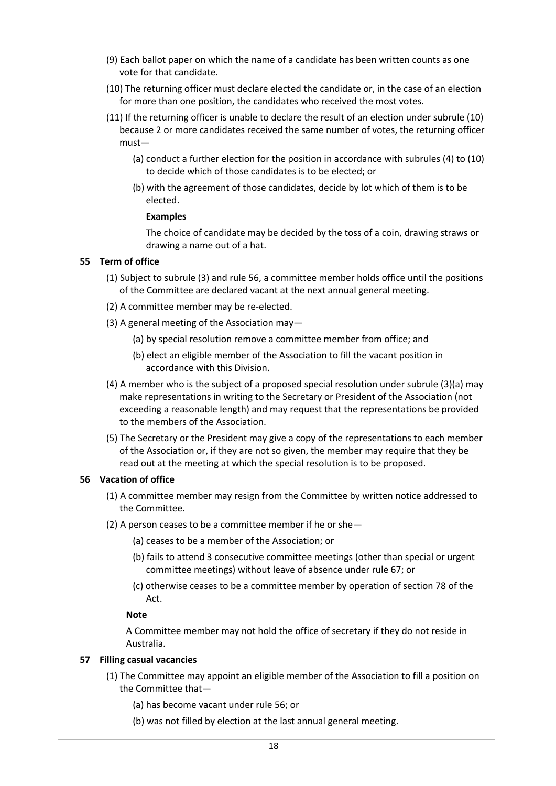- (9) Each ballot paper on which the name of a candidate has been written counts as one vote for that candidate.
- (10) The returning officer must declare elected the candidate or, in the case of an election for more than one position, the candidates who received the most votes.
- (11) If the returning officer is unable to declare the result of an election under subrule (10) because 2 or more candidates received the same number of votes, the returning officer must—
	- (a) conduct a further election for the position in accordance with subrules (4) to (10) to decide which of those candidates is to be elected; or
	- (b) with the agreement of those candidates, decide by lot which of them is to be elected.

#### **Examples**

The choice of candidate may be decided by the toss of a coin, drawing straws or drawing a name out of a hat.

#### **55 Term of office**

- (1) Subject to subrule (3) and rule 56, a committee member holds office until the positions of the Committee are declared vacant at the next annual general meeting.
- (2) A committee member may be re-elected.
- (3) A general meeting of the Association may—
	- (a) by special resolution remove a committee member from office; and
	- (b) elect an eligible member of the Association to fill the vacant position in accordance with this Division.
- (4) A member who is the subject of a proposed special resolution under subrule (3)(a) may make representations in writing to the Secretary or President of the Association (not exceeding a reasonable length) and may request that the representations be provided to the members of the Association.
- (5) The Secretary or the President may give a copy of the representations to each member of the Association or, if they are not so given, the member may require that they be read out at the meeting at which the special resolution is to be proposed.

#### **56 Vacation of office**

- (1) A committee member may resign from the Committee by written notice addressed to the Committee.
- (2) A person ceases to be a committee member if he or she—
	- (a) ceases to be a member of the Association; or
	- (b) fails to attend 3 consecutive committee meetings (other than special or urgent committee meetings) without leave of absence under rule 67; or
	- (c) otherwise ceases to be a committee member by operation of section 78 of the Act.

#### **Note**

A Committee member may not hold the office of secretary if they do not reside in Australia.

#### **57 Filling casual vacancies**

- (1) The Committee may appoint an eligible member of the Association to fill a position on the Committee that—
	- (a) has become vacant under rule 56; or
	- (b) was not filled by election at the last annual general meeting.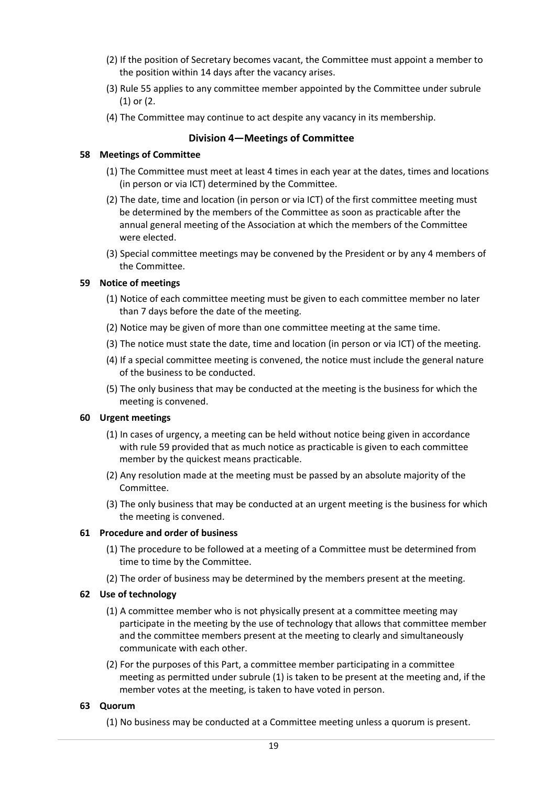- (2) If the position of Secretary becomes vacant, the Committee must appoint a member to the position within 14 days after the vacancy arises.
- (3) Rule 55 applies to any committee member appointed by the Committee under subrule (1) or (2.
- (4) The Committee may continue to act despite any vacancy in its membership.

## **Division 4—Meetings of Committee**

## **58 Meetings of Committee**

- (1) The Committee must meet at least 4 times in each year at the dates, times and locations (in person or via ICT) determined by the Committee.
- (2) The date, time and location (in person or via ICT) of the first committee meeting must be determined by the members of the Committee as soon as practicable after the annual general meeting of the Association at which the members of the Committee were elected.
- (3) Special committee meetings may be convened by the President or by any 4 members of the Committee.

## **59 Notice of meetings**

- (1) Notice of each committee meeting must be given to each committee member no later than 7 days before the date of the meeting.
- (2) Notice may be given of more than one committee meeting at the same time.
- (3) The notice must state the date, time and location (in person or via ICT) of the meeting.
- (4) If a special committee meeting is convened, the notice must include the general nature of the business to be conducted.
- (5) The only business that may be conducted at the meeting is the business for which the meeting is convened.

#### **60 Urgent meetings**

- (1) In cases of urgency, a meeting can be held without notice being given in accordance with rule 59 provided that as much notice as practicable is given to each committee member by the quickest means practicable.
- (2) Any resolution made at the meeting must be passed by an absolute majority of the Committee.
- (3) The only business that may be conducted at an urgent meeting is the business for which the meeting is convened.

#### **61 Procedure and order of business**

- (1) The procedure to be followed at a meeting of a Committee must be determined from time to time by the Committee.
- (2) The order of business may be determined by the members present at the meeting.

## **62 Use of technology**

- (1) A committee member who is not physically present at a committee meeting may participate in the meeting by the use of technology that allows that committee member and the committee members present at the meeting to clearly and simultaneously communicate with each other.
- (2) For the purposes of this Part, a committee member participating in a committee meeting as permitted under subrule (1) is taken to be present at the meeting and, if the member votes at the meeting, is taken to have voted in person.

#### **63 Quorum**

(1) No business may be conducted at a Committee meeting unless a quorum is present.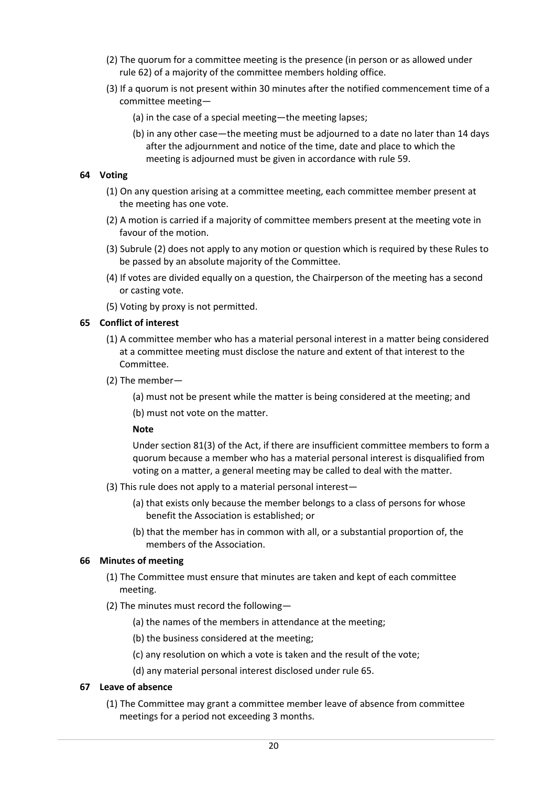- (2) The quorum for a committee meeting is the presence (in person or as allowed under rule 62) of a majority of the committee members holding office.
- (3) If a quorum is not present within 30 minutes after the notified commencement time of a committee meeting—
	- (a) in the case of a special meeting—the meeting lapses;
	- (b) in any other case—the meeting must be adjourned to a date no later than 14 days after the adjournment and notice of the time, date and place to which the meeting is adjourned must be given in accordance with rule 59.

#### **64 Voting**

- (1) On any question arising at a committee meeting, each committee member present at the meeting has one vote.
- (2) A motion is carried if a majority of committee members present at the meeting vote in favour of the motion.
- (3) Subrule (2) does not apply to any motion or question which is required by these Rules to be passed by an absolute majority of the Committee.
- (4) If votes are divided equally on a question, the Chairperson of the meeting has a second or casting vote.
- (5) Voting by proxy is not permitted.

## **65 Conflict of interest**

- (1) A committee member who has a material personal interest in a matter being considered at a committee meeting must disclose the nature and extent of that interest to the Committee.
- (2) The member—
	- (a) must not be present while the matter is being considered at the meeting; and
	- (b) must not vote on the matter.

#### **Note**

Under section 81(3) of the Act, if there are insufficient committee members to form a quorum because a member who has a material personal interest is disqualified from voting on a matter, a general meeting may be called to deal with the matter.

- (3) This rule does not apply to a material personal interest—
	- (a) that exists only because the member belongs to a class of persons for whose benefit the Association is established; or
	- (b) that the member has in common with all, or a substantial proportion of, the members of the Association.

#### **66 Minutes of meeting**

- (1) The Committee must ensure that minutes are taken and kept of each committee meeting.
- (2) The minutes must record the following—
	- (a) the names of the members in attendance at the meeting;
	- (b) the business considered at the meeting;
	- (c) any resolution on which a vote is taken and the result of the vote;
	- (d) any material personal interest disclosed under rule 65.

## **67 Leave of absence**

(1) The Committee may grant a committee member leave of absence from committee meetings for a period not exceeding 3 months.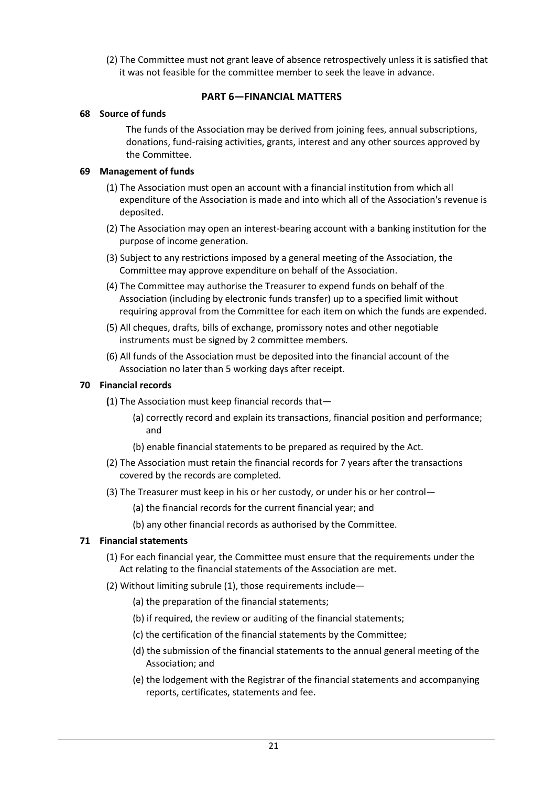(2) The Committee must not grant leave of absence retrospectively unless it is satisfied that it was not feasible for the committee member to seek the leave in advance.

## **PART 6—FINANCIAL MATTERS**

## **68 Source of funds**

The funds of the Association may be derived from joining fees, annual subscriptions, donations, fund-raising activities, grants, interest and any other sources approved by the Committee.

## **69 Management of funds**

- (1) The Association must open an account with a financial institution from which all expenditure of the Association is made and into which all of the Association's revenue is deposited.
- (2) The Association may open an interest-bearing account with a banking institution for the purpose of income generation.
- (3) Subject to any restrictions imposed by a general meeting of the Association, the Committee may approve expenditure on behalf of the Association.
- (4) The Committee may authorise the Treasurer to expend funds on behalf of the Association (including by electronic funds transfer) up to a specified limit without requiring approval from the Committee for each item on which the funds are expended.
- (5) All cheques, drafts, bills of exchange, promissory notes and other negotiable instruments must be signed by 2 committee members.
- (6) All funds of the Association must be deposited into the financial account of the Association no later than 5 working days after receipt.

## **70 Financial records**

- **(**1) The Association must keep financial records that—
	- (a) correctly record and explain its transactions, financial position and performance; and
	- (b) enable financial statements to be prepared as required by the Act.
- (2) The Association must retain the financial records for 7 years after the transactions covered by the records are completed.
- (3) The Treasurer must keep in his or her custody, or under his or her control—
	- (a) the financial records for the current financial year; and
	- (b) any other financial records as authorised by the Committee.

## **71 Financial statements**

- (1) For each financial year, the Committee must ensure that the requirements under the Act relating to the financial statements of the Association are met.
- (2) Without limiting subrule (1), those requirements include—
	- (a) the preparation of the financial statements;
	- (b) if required, the review or auditing of the financial statements;
	- (c) the certification of the financial statements by the Committee;
	- (d) the submission of the financial statements to the annual general meeting of the Association; and
	- (e) the lodgement with the Registrar of the financial statements and accompanying reports, certificates, statements and fee.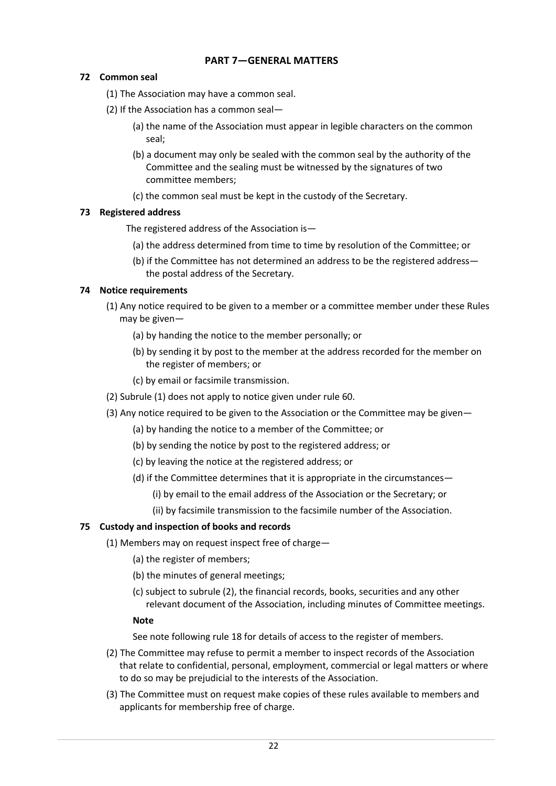## **PART 7—GENERAL MATTERS**

## **72 Common seal**

(1) The Association may have a common seal.

- (2) If the Association has a common seal—
	- (a) the name of the Association must appear in legible characters on the common seal;
	- (b) a document may only be sealed with the common seal by the authority of the Committee and the sealing must be witnessed by the signatures of two committee members;
	- (c) the common seal must be kept in the custody of the Secretary.

## **73 Registered address**

The registered address of the Association is—

- (a) the address determined from time to time by resolution of the Committee; or
- (b) if the Committee has not determined an address to be the registered address the postal address of the Secretary.

## **74 Notice requirements**

- (1) Any notice required to be given to a member or a committee member under these Rules may be given—
	- (a) by handing the notice to the member personally; or
	- (b) by sending it by post to the member at the address recorded for the member on the register of members; or
	- (c) by email or facsimile transmission.
- (2) Subrule (1) does not apply to notice given under rule 60.
- (3) Any notice required to be given to the Association or the Committee may be given—
	- (a) by handing the notice to a member of the Committee; or
	- (b) by sending the notice by post to the registered address; or
	- (c) by leaving the notice at the registered address; or
	- (d) if the Committee determines that it is appropriate in the circumstances—
		- (i) by email to the email address of the Association or the Secretary; or
		- (ii) by facsimile transmission to the facsimile number of the Association.

## **75 Custody and inspection of books and records**

- (1) Members may on request inspect free of charge—
	- (a) the register of members;
	- (b) the minutes of general meetings;
	- (c) subject to subrule (2), the financial records, books, securities and any other relevant document of the Association, including minutes of Committee meetings.

## **Note**

See note following rule 18 for details of access to the register of members.

- (2) The Committee may refuse to permit a member to inspect records of the Association that relate to confidential, personal, employment, commercial or legal matters or where to do so may be prejudicial to the interests of the Association.
- (3) The Committee must on request make copies of these rules available to members and applicants for membership free of charge.